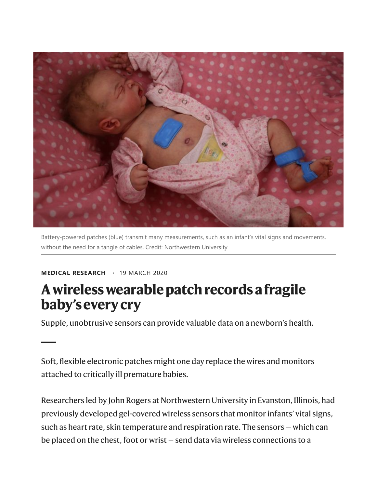

Battery-powered patches (blue) transmit many measurements, such as an infant's vital signs and movements, without the need for a tangle of cables. Credit: Northwestern University

## MEDICAL RESEARCH · 19 MARCH 2020

## A wireless wearable patch records a fragile baby's every cry

Supple, unobtrusive sensors can provide valuable data on a newborn's health.

Soft, flexible electronic patches might one day replace the wires and monitors attached to critically ill premature babies.

Researchers led by John Rogers at Northwestern University in Evanston, Illinois, had previously developed gel-covered wireless sensors that monitor infants' vital signs, such as heart rate, skin temperature and respiration rate. The sensors — which can be placed on the chest, foot or wrist — send data via wireless connections to a